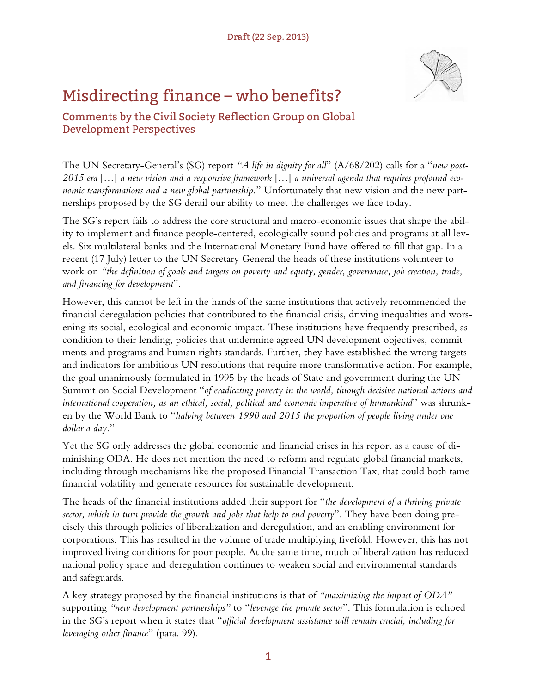## Misdirecting finance – who benefits?



Comments by the Civil Society Reflection Group on Global Development Perspectives

The UN Secretary-General's (SG) report *"A life in dignity for all*" (A/68/202) calls for a "*new post-2015 era* […] *a new vision and a responsive framework* […] *a universal agenda that requires profound economic transformations and a new global partnership.*" Unfortunately that new vision and the new partnerships proposed by the SG derail our ability to meet the challenges we face today.

The SG's report fails to address the core structural and macro-economic issues that shape the ability to implement and finance people-centered, ecologically sound policies and programs at all levels. Six multilateral banks and the International Monetary Fund have offered to fill that gap. In a recent (17 July) letter to the UN Secretary General the heads of these institutions volunteer to work on *"the definition of goals and targets on poverty and equity, gender, governance, job creation, trade, and financing for development*".

However, this cannot be left in the hands of the same institutions that actively recommended the financial deregulation policies that contributed to the financial crisis, driving inequalities and worsening its social, ecological and economic impact. These institutions have frequently prescribed, as condition to their lending, policies that undermine agreed UN development objectives, commitments and programs and human rights standards. Further, they have established the wrong targets and indicators for ambitious UN resolutions that require more transformative action. For example, the goal unanimously formulated in 1995 by the heads of State and government during the UN Summit on Social Development "*of eradicating poverty in the world, through decisive national actions and international cooperation, as an ethical, social, political and economic imperative of humankind*" was shrunken by the World Bank to "*halving between 1990 and 2015 the proportion of people living under one dollar a day.*"

Yet the SG only addresses the global economic and financial crises in his report as a cause of diminishing ODA. He does not mention the need to reform and regulate global financial markets, including through mechanisms like the proposed Financial Transaction Tax, that could both tame financial volatility and generate resources for sustainable development.

The heads of the financial institutions added their support for "*the development of a thriving private sector, which in turn provide the growth and jobs that help to end poverty*". They have been doing precisely this through policies of liberalization and deregulation, and an enabling environment for corporations. This has resulted in the volume of trade multiplying fivefold. However, this has not improved living conditions for poor people. At the same time, much of liberalization has reduced national policy space and deregulation continues to weaken social and environmental standards and safeguards.

A key strategy proposed by the financial institutions is that of *"maximizing the impact of ODA"* supporting *"new development partnerships"* to "*leverage the private sector*". This formulation is echoed in the SG's report when it states that "*official development assistance will remain crucial, including for leveraging other finance*" (para. 99).